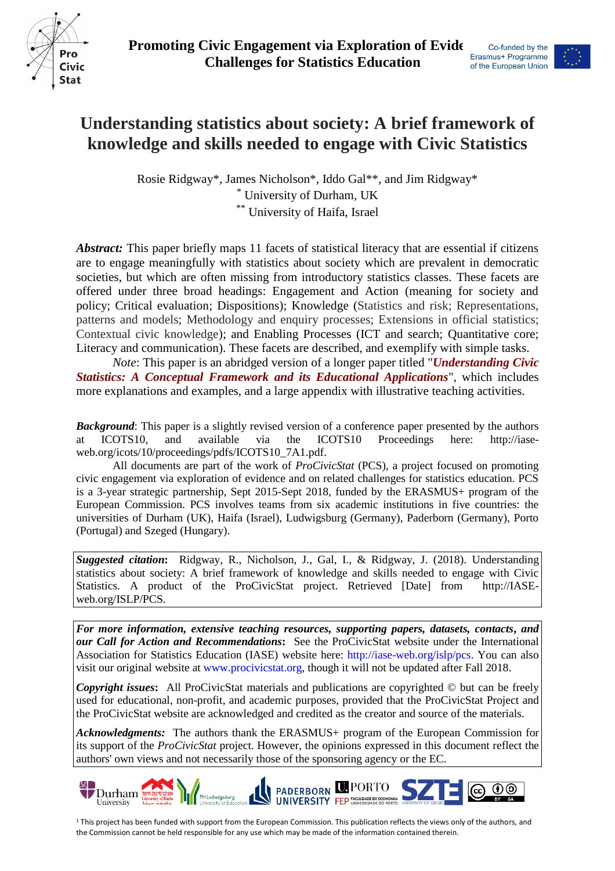



# **Understanding statistics about society: A brief framework of knowledge and skills needed to engage with Civic Statistics**

Rosie Ridgway\*, James Nicholson\*, Iddo Gal\*\*, and Jim Ridgway\* \* University of Durham, UK \*\* University of Haifa, Israel

*Abstract:* This paper briefly maps 11 facets of statistical literacy that are essential if citizens are to engage meaningfully with statistics about society which are prevalent in democratic societies, but which are often missing from introductory statistics classes. These facets are offered under three broad headings: Engagement and Action (meaning for society and policy; Critical evaluation; Dispositions); Knowledge (Statistics and risk; Representations, patterns and models; Methodology and enquiry processes; Extensions in official statistics; Contextual civic knowledge); and Enabling Processes (ICT and search; Quantitative core; Literacy and communication). These facets are described, and exemplify with simple tasks.

*Note*: This paper is an abridged version of a longer paper titled "*Understanding Civic Statistics: A Conceptual Framework and its Educational Applications*", which includes more explanations and examples, and a large appendix with illustrative teaching activities.

*Background*: This paper is a slightly revised version of a conference paper presented by the authors at ICOTS10, and available via the ICOTS10 Proceedings here: [http://iase](http://iase-web.org/icots/10/proceedings/pdfs/ICOTS10_7A1.pdf)[web.org/icots/10/proceedings/pdfs/ICOTS10\\_7A1.pdf.](http://iase-web.org/icots/10/proceedings/pdfs/ICOTS10_7A1.pdf)

All documents are part of the work of *ProCivicStat* (PCS), a project focused on promoting civic engagement via exploration of evidence and on related challenges for statistics education. PCS is a 3-year strategic partnership, Sept 2015-Sept 2018, funded by the ERASMUS+ program of the European Commission. PCS involves teams from six academic institutions in five countries: the universities of Durham (UK), Haifa (Israel), Ludwigsburg (Germany), Paderborn (Germany), Porto (Portugal) and Szeged (Hungary).

*Suggested citation***:** Ridgway, R., Nicholson, J., Gal, I., & Ridgway, J. (2018). Understanding statistics about society: A brief framework of knowledge and skills needed to engage with Civic Statistics. A product of the ProCivicStat project. Retrieved [Date] from http://IASEweb.org/ISLP/PCS.

*For more information, extensive teaching resources, supporting papers, datasets, contacts***,** *and our Call for Action and Recommendations***:** See the ProCivicStat website under the International Association for Statistics Education (IASE) website here: http://iase-web.org/islp/pcs. You can also visit our original website at [www.procivicstat.org,](http://community.dur.ac.uk/procivic.stat) though it will not be updated after Fall 2018.

*Copyright issues***:** All ProCivicStat materials and publications are copyrighted © but can be freely used for educational, non-profit, and academic purposes, provided that the ProCivicStat Project and the ProCivicStat website are acknowledged and credited as the creator and source of the materials.

*Acknowledgments:* The authors thank the ERASMUS+ program of the European Commission for its support of the *ProCivicStat* project. However, the opinions expressed in this document reflect the authors' own views and not necessarily those of the sponsoring agency or the EC.



<sup>1</sup> This project has been funded with support from the European Commission. This publication reflects the views only of the authors, and the Commission cannot be held responsible for any use which may be made of the information contained therein.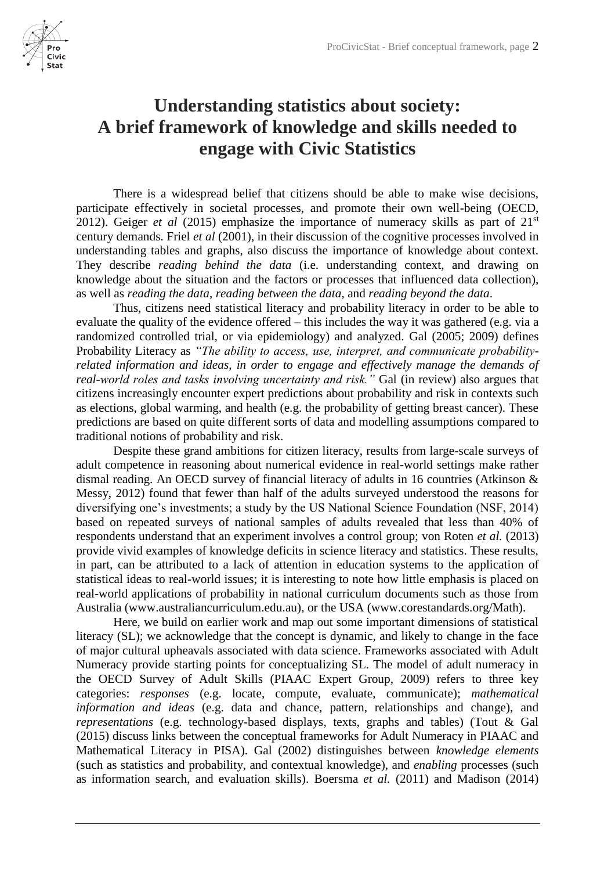

# **Understanding statistics about society: A brief framework of knowledge and skills needed to engage with Civic Statistics**

There is a widespread belief that citizens should be able to make wise decisions, participate effectively in societal processes, and promote their own well-being (OECD, 2012). Geiger *et al* (2015) emphasize the importance of numeracy skills as part of  $21<sup>st</sup>$ century demands. Friel *et al* (2001), in their discussion of the cognitive processes involved in understanding tables and graphs, also discuss the importance of knowledge about context. They describe *reading behind the data* (i.e. understanding context, and drawing on knowledge about the situation and the factors or processes that influenced data collection), as well as *reading the data*, *reading between the data*, and *reading beyond the data*.

Thus, citizens need statistical literacy and probability literacy in order to be able to evaluate the quality of the evidence offered – this includes the way it was gathered (e.g. via a randomized controlled trial, or via epidemiology) and analyzed. Gal (2005; 2009) defines Probability Literacy as *"The ability to access, use, interpret, and communicate probabilityrelated information and ideas, in order to engage and effectively manage the demands of real-world roles and tasks involving uncertainty and risk."* Gal (in review) also argues that citizens increasingly encounter expert predictions about probability and risk in contexts such as elections, global warming, and health (e.g. the probability of getting breast cancer). These predictions are based on quite different sorts of data and modelling assumptions compared to traditional notions of probability and risk.

Despite these grand ambitions for citizen literacy, results from large-scale surveys of adult competence in reasoning about numerical evidence in real-world settings make rather dismal reading. An OECD survey of financial literacy of adults in 16 countries (Atkinson & Messy, 2012) found that fewer than half of the adults surveyed understood the reasons for diversifying one's investments; a study by the US National Science Foundation (NSF, 2014) based on repeated surveys of national samples of adults revealed that less than 40% of respondents understand that an experiment involves a control group; von Roten *et al.* (2013) provide vivid examples of knowledge deficits in science literacy and statistics. These results, in part, can be attributed to a lack of attention in education systems to the application of statistical ideas to real-world issues; it is interesting to note how little emphasis is placed on real-world applications of probability in national curriculum documents such as those from Australia [\(www.australiancurriculum.edu.au\),](http://www.australiancurriculum.edu.au)/) or the USA [\(www.corestandards.org/Math\).](http://www.corestandards.org/Math))

Here, we build on earlier work and map out some important dimensions of statistical literacy (SL); we acknowledge that the concept is dynamic, and likely to change in the face of major cultural upheavals associated with data science. Frameworks associated with Adult Numeracy provide starting points for conceptualizing SL. The model of adult numeracy in the OECD Survey of Adult Skills (PIAAC Expert Group, 2009) refers to three key categories: *responses* (e.g. locate, compute, evaluate, communicate); *mathematical information and ideas* (e.g. data and chance, pattern, relationships and change), and *representations* (e.g. technology-based displays, texts, graphs and tables) (Tout & Gal (2015) discuss links between the conceptual frameworks for Adult Numeracy in PIAAC and Mathematical Literacy in PISA). Gal (2002) distinguishes between *knowledge elements*  (such as statistics and probability, and contextual knowledge), and *enabling* processes (such as information search, and evaluation skills). Boersma *et al.* (2011) and Madison (2014)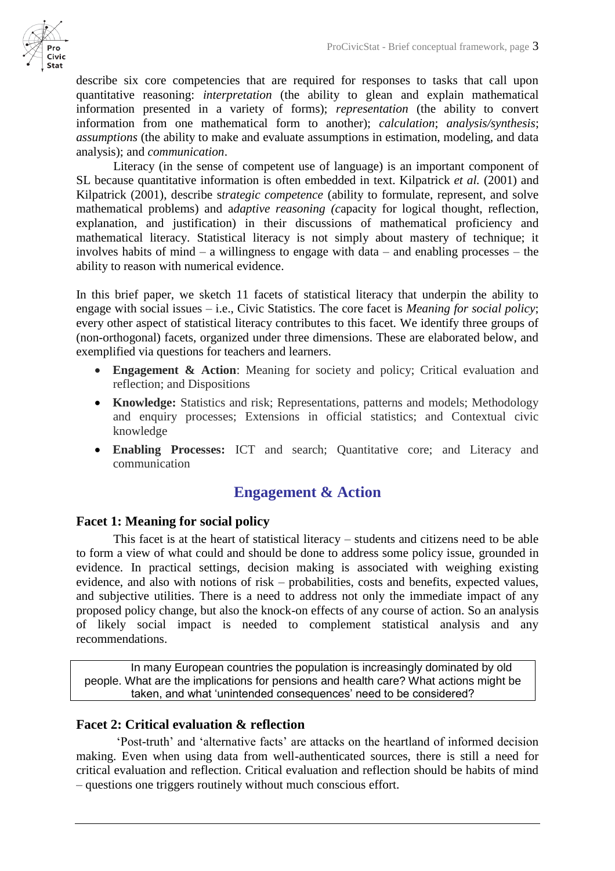

describe six core competencies that are required for responses to tasks that call upon quantitative reasoning: *interpretation* (the ability to glean and explain mathematical information presented in a variety of forms); *representation* (the ability to convert information from one mathematical form to another); *calculation*; *analysis/synthesis*; *assumptions* (the ability to make and evaluate assumptions in estimation, modeling, and data analysis); and *communication*.

Literacy (in the sense of competent use of language) is an important component of SL because quantitative information is often embedded in text. Kilpatrick *et al.* (2001) and Kilpatrick (2001), describe s*trategic competence* (ability to formulate, represent, and solve mathematical problems) and a*daptive reasoning (c*apacity for logical thought, reflection, explanation, and justification) in their discussions of mathematical proficiency and mathematical literacy. Statistical literacy is not simply about mastery of technique; it involves habits of mind – a willingness to engage with data – and enabling processes – the ability to reason with numerical evidence.

In this brief paper, we sketch 11 facets of statistical literacy that underpin the ability to engage with social issues – i.e., Civic Statistics. The core facet is *Meaning for social policy*; every other aspect of statistical literacy contributes to this facet. We identify three groups of (non-orthogonal) facets, organized under three dimensions. These are elaborated below, and exemplified via questions for teachers and learners.

- **Engagement & Action**: Meaning for society and policy; Critical evaluation and reflection; and Dispositions
- **Knowledge:** Statistics and risk; Representations, patterns and models; Methodology and enquiry processes; Extensions in official statistics; and Contextual civic knowledge
- **Enabling Processes:** ICT and search; Quantitative core; and Literacy and communication

# **Engagement & Action**

# **Facet 1: Meaning for social policy**

This facet is at the heart of statistical literacy – students and citizens need to be able to form a view of what could and should be done to address some policy issue, grounded in evidence. In practical settings, decision making is associated with weighing existing evidence, and also with notions of risk – probabilities, costs and benefits, expected values, and subjective utilities. There is a need to address not only the immediate impact of any proposed policy change, but also the knock-on effects of any course of action. So an analysis of likely social impact is needed to complement statistical analysis and any recommendations.

In many European countries the population is increasingly dominated by old people. What are the implications for pensions and health care? What actions might be taken, and what 'unintended consequences' need to be considered?

## **Facet 2: Critical evaluation & reflection**

'Post-truth' and 'alternative facts' are attacks on the heartland of informed decision making. Even when using data from well-authenticated sources, there is still a need for critical evaluation and reflection. Critical evaluation and reflection should be habits of mind – questions one triggers routinely without much conscious effort.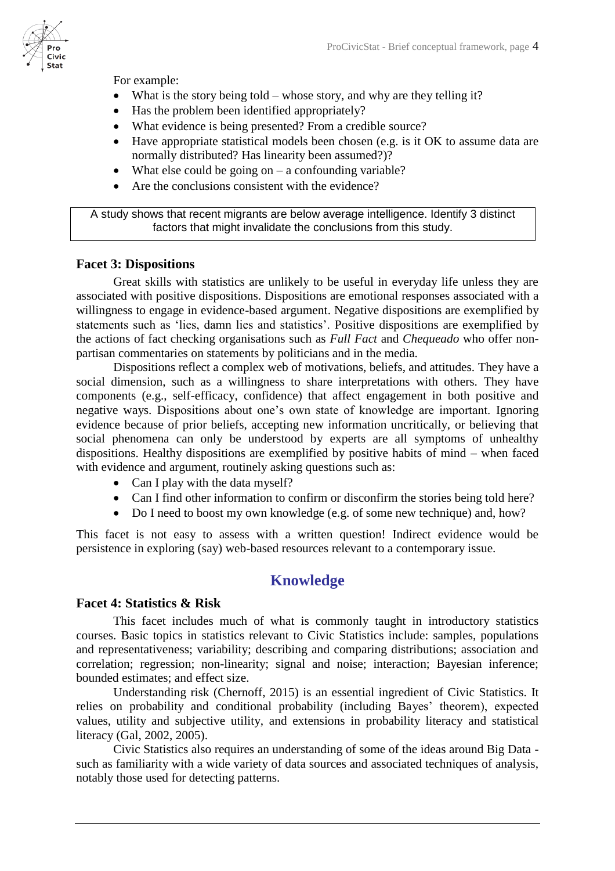For example:

- What is the story being told whose story, and why are they telling it?
- Has the problem been identified appropriately?
- What evidence is being presented? From a credible source?
- Have appropriate statistical models been chosen (e.g. is it OK to assume data are normally distributed? Has linearity been assumed?)?
- What else could be going on  $-$  a confounding variable?
- Are the conclusions consistent with the evidence?

A study shows that recent migrants are below average intelligence. Identify 3 distinct factors that might invalidate the conclusions from this study.

## **Facet 3: Dispositions**

Great skills with statistics are unlikely to be useful in everyday life unless they are associated with positive dispositions. Dispositions are emotional responses associated with a willingness to engage in evidence-based argument. Negative dispositions are exemplified by statements such as 'lies, damn lies and statistics'. Positive dispositions are exemplified by the actions of fact checking organisations such as *Full Fact* and *Chequeado* who offer nonpartisan commentaries on statements by politicians and in the media.

Dispositions reflect a complex web of motivations, beliefs, and attitudes. They have a social dimension, such as a willingness to share interpretations with others. They have components (e.g., self-efficacy, confidence) that affect engagement in both positive and negative ways. Dispositions about one's own state of knowledge are important. Ignoring evidence because of prior beliefs, accepting new information uncritically, or believing that social phenomena can only be understood by experts are all symptoms of unhealthy dispositions. Healthy dispositions are exemplified by positive habits of mind – when faced with evidence and argument, routinely asking questions such as:

- Can I play with the data myself?
- Can I find other information to confirm or disconfirm the stories being told here?
- Do I need to boost my own knowledge (e.g. of some new technique) and, how?

This facet is not easy to assess with a written question! Indirect evidence would be persistence in exploring (say) web-based resources relevant to a contemporary issue.

# **Knowledge**

#### **Facet 4: Statistics & Risk**

This facet includes much of what is commonly taught in introductory statistics courses. Basic topics in statistics relevant to Civic Statistics include: samples, populations and representativeness; variability; describing and comparing distributions; association and correlation; regression; non-linearity; signal and noise; interaction; Bayesian inference; bounded estimates; and effect size.

Understanding risk (Chernoff, 2015) is an essential ingredient of Civic Statistics. It relies on probability and conditional probability (including Bayes' theorem), expected values, utility and subjective utility, and extensions in probability literacy and statistical literacy (Gal, 2002, 2005).

Civic Statistics also requires an understanding of some of the ideas around Big Data such as familiarity with a wide variety of data sources and associated techniques of analysis, notably those used for detecting patterns.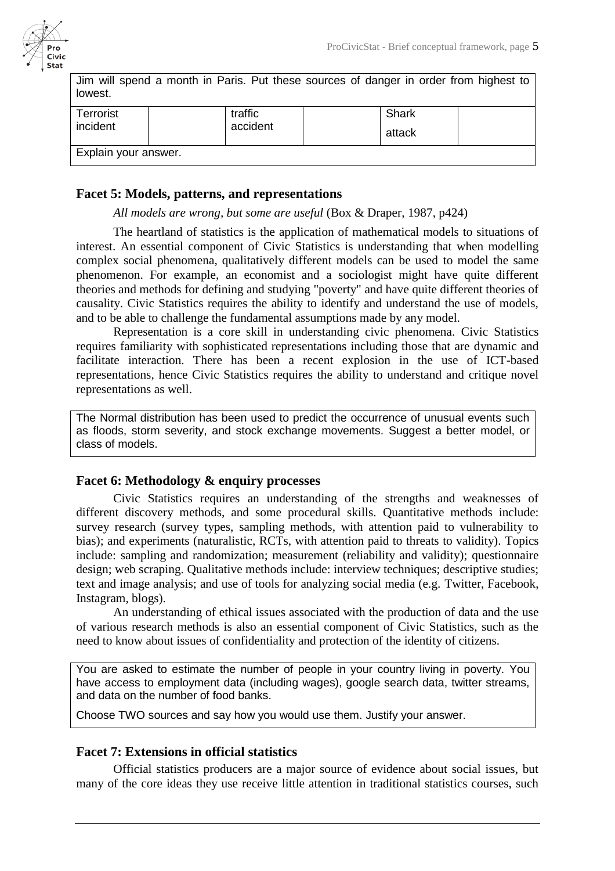

| Jim will spend a month in Paris. Put these sources of danger in order from highest to<br>lowest. |                     |                 |  |
|--------------------------------------------------------------------------------------------------|---------------------|-----------------|--|
| Terrorist<br>incident                                                                            | traffic<br>accident | Shark<br>attack |  |
| Explain your answer.                                                                             |                     |                 |  |

### **Facet 5: Models, patterns, and representations**

*All models are wrong, but some are useful* (Box & Draper, 1987, p424)

The heartland of statistics is the application of mathematical models to situations of interest. An essential component of Civic Statistics is understanding that when modelling complex social phenomena, qualitatively different models can be used to model the same phenomenon. For example, an economist and a sociologist might have quite different theories and methods for defining and studying "poverty" and have quite different theories of causality. Civic Statistics requires the ability to identify and understand the use of models, and to be able to challenge the fundamental assumptions made by any model.

Representation is a core skill in understanding civic phenomena. Civic Statistics requires familiarity with sophisticated representations including those that are dynamic and facilitate interaction. There has been a recent explosion in the use of ICT-based representations, hence Civic Statistics requires the ability to understand and critique novel representations as well.

The Normal distribution has been used to predict the occurrence of unusual events such as floods, storm severity, and stock exchange movements. Suggest a better model, or class of models.

#### **Facet 6: Methodology & enquiry processes**

Civic Statistics requires an understanding of the strengths and weaknesses of different discovery methods, and some procedural skills. Quantitative methods include: survey research (survey types, sampling methods, with attention paid to vulnerability to bias); and experiments (naturalistic, RCTs, with attention paid to threats to validity). Topics include: sampling and randomization; measurement (reliability and validity); questionnaire design; web scraping. Qualitative methods include: interview techniques; descriptive studies; text and image analysis; and use of tools for analyzing social media (e.g. Twitter, Facebook, Instagram, blogs).

An understanding of ethical issues associated with the production of data and the use of various research methods is also an essential component of Civic Statistics, such as the need to know about issues of confidentiality and protection of the identity of citizens.

You are asked to estimate the number of people in your country living in poverty. You have access to employment data (including wages), google search data, twitter streams, and data on the number of food banks.

Choose TWO sources and say how you would use them. Justify your answer.

#### **Facet 7: Extensions in official statistics**

Official statistics producers are a major source of evidence about social issues, but many of the core ideas they use receive little attention in traditional statistics courses, such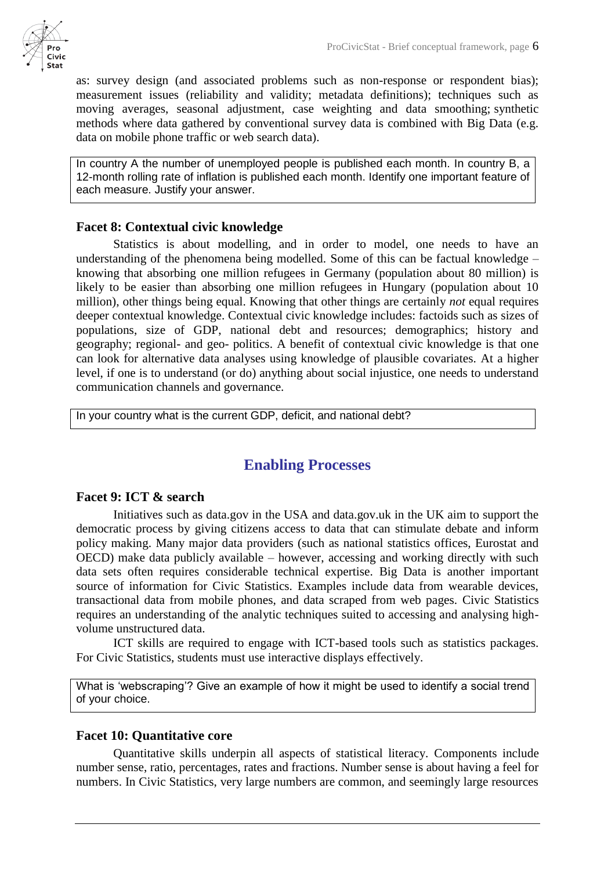as: survey design (and associated problems such as non-response or respondent bias); measurement issues (reliability and validity; metadata definitions); techniques such as moving averages, seasonal adjustment, case weighting and data smoothing; synthetic methods where data gathered by conventional survey data is combined with Big Data (e.g. data on mobile phone traffic or web search data).

In country A the number of unemployed people is published each month. In country B, a 12-month rolling rate of inflation is published each month. Identify one important feature of each measure. Justify your answer.

### **Facet 8: Contextual civic knowledge**

Statistics is about modelling, and in order to model, one needs to have an understanding of the phenomena being modelled. Some of this can be factual knowledge – knowing that absorbing one million refugees in Germany (population about 80 million) is likely to be easier than absorbing one million refugees in Hungary (population about 10 million), other things being equal. Knowing that other things are certainly *not* equal requires deeper contextual knowledge. Contextual civic knowledge includes: factoids such as sizes of populations, size of GDP, national debt and resources; demographics; history and geography; regional- and geo- politics. A benefit of contextual civic knowledge is that one can look for alternative data analyses using knowledge of plausible covariates. At a higher level, if one is to understand (or do) anything about social injustice, one needs to understand communication channels and governance.

In your country what is the current GDP, deficit, and national debt?

# **Enabling Processes**

### **Facet 9: ICT & search**

Initiatives such as data.gov in the USA and data.gov.uk in the UK aim to support the democratic process by giving citizens access to data that can stimulate debate and inform policy making. Many major data providers (such as national statistics offices, Eurostat and OECD) make data publicly available – however, accessing and working directly with such data sets often requires considerable technical expertise. Big Data is another important source of information for Civic Statistics. Examples include data from wearable devices, transactional data from mobile phones, and data scraped from web pages. Civic Statistics requires an understanding of the analytic techniques suited to accessing and analysing highvolume unstructured data.

ICT skills are required to engage with ICT-based tools such as statistics packages. For Civic Statistics, students must use interactive displays effectively.

What is 'webscraping'? Give an example of how it might be used to identify a social trend of your choice.

## **Facet 10: Quantitative core**

Quantitative skills underpin all aspects of statistical literacy. Components include number sense, ratio, percentages, rates and fractions. Number sense is about having a feel for numbers. In Civic Statistics, very large numbers are common, and seemingly large resources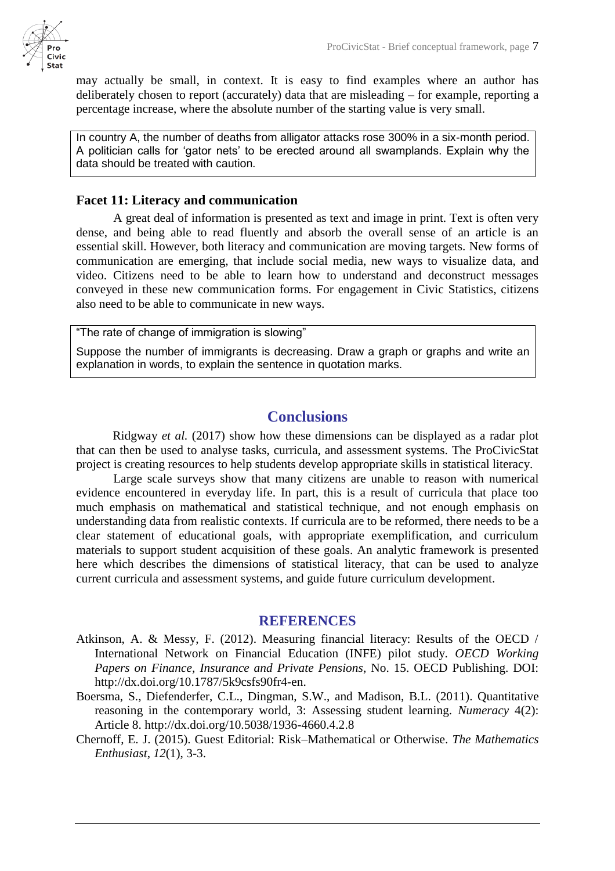may actually be small, in context. It is easy to find examples where an author has deliberately chosen to report (accurately) data that are misleading – for example, reporting a percentage increase, where the absolute number of the starting value is very small.

In country A, the number of deaths from alligator attacks rose 300% in a six-month period. A politician calls for 'gator nets' to be erected around all swamplands. Explain why the data should be treated with caution.

## **Facet 11: Literacy and communication**

A great deal of information is presented as text and image in print. Text is often very dense, and being able to read fluently and absorb the overall sense of an article is an essential skill. However, both literacy and communication are moving targets. New forms of communication are emerging, that include social media, new ways to visualize data, and video. Citizens need to be able to learn how to understand and deconstruct messages conveyed in these new communication forms. For engagement in Civic Statistics, citizens also need to be able to communicate in new ways.

"The rate of change of immigration is slowing"

Suppose the number of immigrants is decreasing. Draw a graph or graphs and write an explanation in words, to explain the sentence in quotation marks.

# **Conclusions**

Ridgway *et al.* (2017) show how these dimensions can be displayed as a radar plot that can then be used to analyse tasks, curricula, and assessment systems. The ProCivicStat project is creating resources to help students develop appropriate skills in statistical literacy.

Large scale surveys show that many citizens are unable to reason with numerical evidence encountered in everyday life. In part, this is a result of curricula that place too much emphasis on mathematical and statistical technique, and not enough emphasis on understanding data from realistic contexts. If curricula are to be reformed, there needs to be a clear statement of educational goals, with appropriate exemplification, and curriculum materials to support student acquisition of these goals. An analytic framework is presented here which describes the dimensions of statistical literacy, that can be used to analyze current curricula and assessment systems, and guide future curriculum development.

## **REFERENCES**

- Atkinson, A. & Messy, F. (2012). Measuring financial literacy: Results of the OECD / International Network on Financial Education (INFE) pilot study. *OECD Working Papers on Finance, Insurance and Private Pensions*, No. 15. OECD Publishing. DOI: http://dx.doi.org/10.1787/5k9csfs90fr4-en.
- Boersma, S., Diefenderfer, C.L., Dingman, S.W., and Madison, B.L. (2011). Quantitative reasoning in the contemporary world, 3: Assessing student learning. *Numeracy* 4(2): Article 8. http://dx.doi.org/10.5038/1936-4660.4.2.8
- Chernoff, E. J. (2015). Guest Editorial: Risk–Mathematical or Otherwise. *The Mathematics Enthusiast*, *12*(1), 3-3.